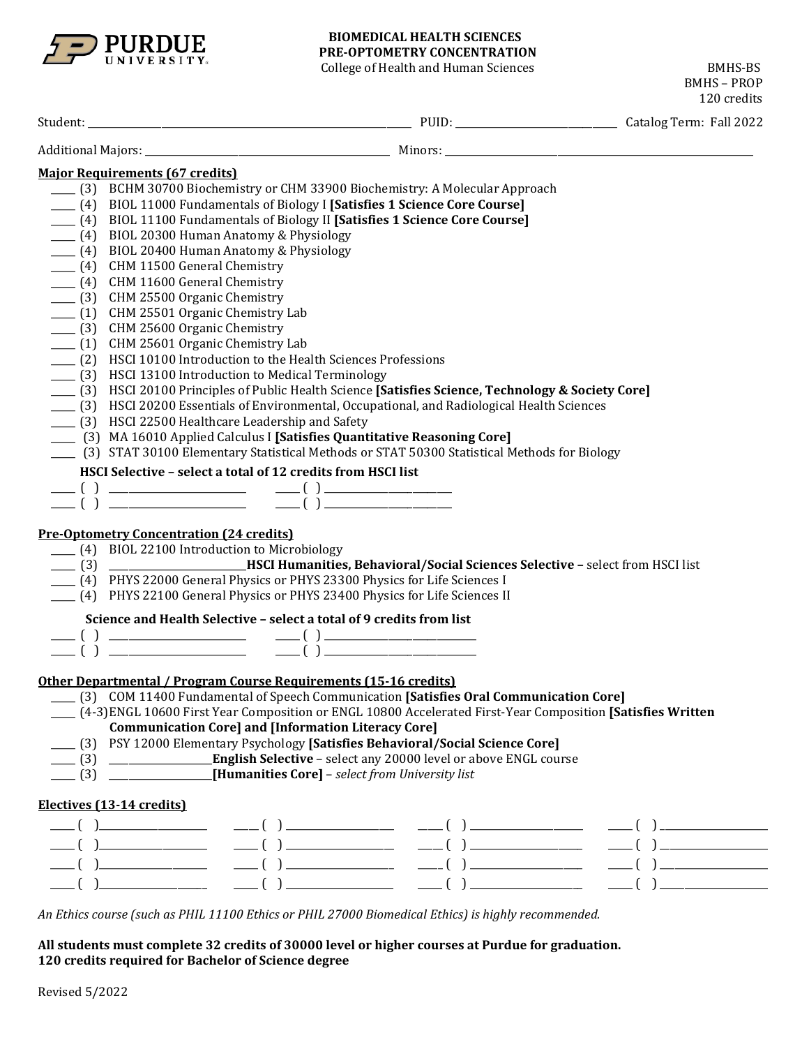

#### **BIOMEDICAL HEALTH SCIENCES PRE-OPTOMETRY CONCENTRATION**

College of Health and Human Sciences BMHS-BS BMHS – PROP 120 credits Student: \_\_\_\_\_\_\_\_\_\_\_\_\_\_\_\_\_\_\_\_\_\_\_\_\_\_\_\_\_\_\_\_\_\_\_\_\_\_\_\_\_\_\_\_\_\_\_\_\_\_\_\_\_\_\_\_\_\_\_\_\_\_\_\_\_\_ PUID: \_\_\_\_\_\_\_\_\_\_\_\_\_\_\_\_\_\_\_\_\_\_\_\_\_\_\_\_\_\_\_\_\_ Catalog Term: Fall 2022 Additional Majors: \_\_\_\_\_\_\_\_\_\_\_\_\_\_\_\_\_\_\_\_\_\_\_\_\_\_\_\_\_\_\_\_\_\_\_\_\_\_\_\_\_\_\_\_\_\_\_\_\_\_ Minors: \_\_\_\_\_\_\_\_\_\_\_\_\_\_\_\_\_\_\_\_\_\_\_\_\_\_\_\_\_\_\_\_\_\_\_\_\_\_\_\_\_\_\_\_\_\_\_\_\_\_\_\_\_\_\_\_\_\_\_\_\_\_\_ **Major Requirements (67 credits)** \_\_\_\_\_ (3) BCHM 30700 Biochemistry or CHM 33900 Biochemistry: A Molecular Approach \_\_\_\_\_ (4) BIOL 11000 Fundamentals of Biology I **[Satisfies 1 Science Core Course]** \_\_\_\_\_ (4) BIOL 11100 Fundamentals of Biology II **[Satisfies 1 Science Core Course]** \_\_\_\_\_ (4) BIOL 20300 Human Anatomy & Physiology  $\frac{1}{2}$  (4) BIOL 20400 Human Anatomy & Physiology \_\_\_\_\_ (4) CHM 11500 General Chemistry \_\_\_\_\_ (4) CHM 11600 General Chemistry \_\_\_\_\_ (3) CHM 25500 Organic Chemistry \_\_\_\_\_ (1) CHM 25501 Organic Chemistry Lab \_\_\_\_\_ (3) CHM 25600 Organic Chemistry \_\_\_\_\_ (1) CHM 25601 Organic Chemistry Lab \_\_\_\_\_ (2) HSCI 10100 Introduction to the Health Sciences Professions \_\_\_\_\_ (3) HSCI 13100 Introduction to Medical Terminology \_\_\_\_\_ (3) HSCI 20100 Principles of Public Health Science **[Satisfies Science, Technology & Society Core]** \_\_\_\_\_ (3) HSCI 20200 Essentials of Environmental, Occupational, and Radiological Health Sciences \_\_\_\_\_ (3) HSCI 22500 Healthcare Leadership and Safety \_\_\_\_\_ (3) MA 16010 Applied Calculus I **[Satisfies Quantitative Reasoning Core]** \_\_\_\_\_ (3) STAT 30100 Elementary Statistical Methods or STAT 50300 Statistical Methods for Biology **HSCI Selective – select a total of 12 credits from HSCI list**  \_\_\_\_\_ ( ) \_\_\_\_\_\_\_\_\_\_\_\_\_\_\_\_\_\_\_\_\_\_\_\_\_\_\_\_ \_\_\_\_\_ ( ) \_\_\_\_\_\_\_\_\_\_\_\_\_\_\_\_\_\_\_\_\_\_\_\_\_\_ \_\_\_\_\_ ( ) \_\_\_\_\_\_\_\_\_\_\_\_\_\_\_\_\_\_\_\_\_\_\_\_\_\_\_\_ \_\_\_\_\_ ( ) \_\_\_\_\_\_\_\_\_\_\_\_\_\_\_\_\_\_\_\_\_\_\_\_\_\_ **Pre-Optometry Concentration (24 credits)** \_\_\_\_\_ (4) BIOL 22100 Introduction to Microbiology \_\_\_\_\_ (3) \_\_\_\_\_\_\_\_\_\_\_\_\_\_\_\_\_\_\_\_\_\_\_\_\_\_\_\_**HSCI Humanities, Behavioral/Social Sciences Selective –** select from HSCI list \_\_\_\_\_ (4) PHYS 22000 General Physics or PHYS 23300 Physics for Life Sciences I \_\_\_\_\_ (4) PHYS 22100 General Physics or PHYS 23400 Physics for Life Sciences II **Science and Health Selective – select a total of 9 credits from list** \_\_\_\_\_ ( ) \_\_\_\_\_\_\_\_\_\_\_\_\_\_\_\_\_\_\_\_\_\_\_\_\_\_\_\_ \_\_\_\_\_ ( ) \_\_\_\_\_\_\_\_\_\_\_\_\_\_\_\_\_\_\_\_\_\_\_\_\_\_\_\_\_\_\_ \_\_\_\_\_ ( ) \_\_\_\_\_\_\_\_\_\_\_\_\_\_\_\_\_\_\_\_\_\_\_\_\_\_\_\_ \_\_\_\_\_ ( ) \_\_\_\_\_\_\_\_\_\_\_\_\_\_\_\_\_\_\_\_\_\_\_\_\_\_\_\_\_\_\_ **Other Departmental / Program Course Requirements (15-16 credits)** \_\_\_\_\_ (3) COM 11400 Fundamental of Speech Communication **[Satisfies Oral Communication Core]** \_\_\_\_\_ (4-3)ENGL 10600 First Year Composition or ENGL 10800 Accelerated First-Year Composition **[Satisfies Written Communication Core] and [Information Literacy Core]** \_\_\_\_\_ (3) PSY 12000 Elementary Psychology **[Satisfies Behavioral/Social Science Core]** \_\_\_\_\_ (3) \_\_\_\_\_\_\_\_\_\_\_\_\_\_\_\_\_\_\_\_\_**English Selective** – select any 20000 level or above ENGL course \_\_\_\_\_ (3) \_\_\_\_\_\_\_\_\_\_\_\_\_\_\_\_\_\_\_\_\_**[Humanities Core]** – *select from University list* **Electives (13-14 credits)** \_\_\_\_\_ ( )\_\_\_\_\_\_\_\_\_\_\_\_\_\_\_\_\_\_\_\_\_\_ \_\_\_\_\_ ( ) \_\_\_\_\_\_\_\_\_\_\_\_\_\_\_\_\_\_\_\_\_\_ \_\_\_\_\_ ( ) \_\_\_\_\_\_\_\_\_\_\_\_\_\_\_\_\_\_\_\_\_\_\_ \_\_\_\_\_ ( ) \_\_\_\_\_\_\_\_\_\_\_\_\_\_\_\_\_\_\_\_\_\_ \_\_\_\_\_ ( )\_\_\_\_\_\_\_\_\_\_\_\_\_\_\_\_\_\_\_\_\_\_ \_\_\_\_\_ ( ) \_\_\_\_\_\_\_\_\_\_\_\_\_\_\_\_\_\_\_\_\_\_ \_\_\_\_\_ ( ) \_\_\_\_\_\_\_\_\_\_\_\_\_\_\_\_\_\_\_\_\_\_\_ \_\_\_\_\_ ( ) \_\_\_\_\_\_\_\_\_\_\_\_\_\_\_\_\_\_\_\_\_\_ \_\_\_\_\_ ( )\_\_\_\_\_\_\_\_\_\_\_\_\_\_\_\_\_\_\_\_\_\_ \_\_\_\_\_ ( ) \_\_\_\_\_\_\_\_\_\_\_\_\_\_\_\_\_\_\_\_\_\_ \_\_\_\_\_ ( ) \_\_\_\_\_\_\_\_\_\_\_\_\_\_\_\_\_\_\_\_\_\_\_ \_\_\_\_\_ ( ) \_\_\_\_\_\_\_\_\_\_\_\_\_\_\_\_\_\_\_\_\_\_ \_\_\_\_\_ ( )\_\_\_\_\_\_\_\_\_\_\_\_\_\_\_\_\_\_\_\_\_\_ \_\_\_\_\_ ( ) \_\_\_\_\_\_\_\_\_\_\_\_\_\_\_\_\_\_\_\_\_\_ \_\_\_\_\_ ( ) \_\_\_\_\_\_\_\_\_\_\_\_\_\_\_\_\_\_\_\_\_\_\_ \_\_\_\_\_ ( ) \_\_\_\_\_\_\_\_\_\_\_\_\_\_\_\_\_\_\_\_\_\_ *An Ethics course (such as PHIL 11100 Ethics or PHIL 27000 Biomedical Ethics) is highly recommended.*

**All students must complete 32 credits of 30000 level or higher courses at Purdue for graduation. 120 credits required for Bachelor of Science degree**

Revised 5/2022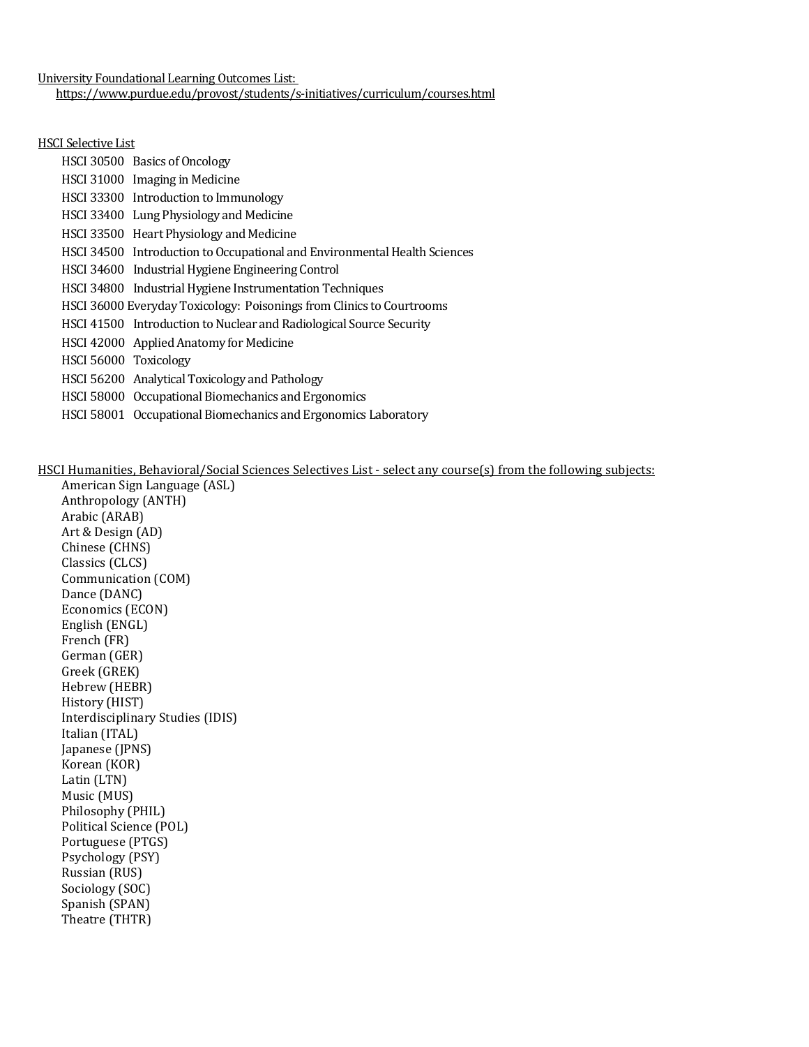University Foundational Learning Outcomes List: <https://www.purdue.edu/provost/students/s-initiatives/curriculum/courses.html>

#### HSCI Selective List

|                       | HSCI 30500 Basics of Oncology                                             |
|-----------------------|---------------------------------------------------------------------------|
|                       | HSCI 31000 Imaging in Medicine                                            |
|                       | HSCI 33300 Introduction to Immunology                                     |
|                       | HSCI 33400 Lung Physiology and Medicine                                   |
|                       | HSCI 33500 Heart Physiology and Medicine                                  |
|                       | HSCI 34500 Introduction to Occupational and Environmental Health Sciences |
|                       | HSCI 34600 Industrial Hygiene Engineering Control                         |
|                       | HSCI 34800 Industrial Hygiene Instrumentation Techniques                  |
|                       | HSCI 36000 Everyday Toxicology: Poisonings from Clinics to Courtrooms     |
|                       | HSCI 41500 Introduction to Nuclear and Radiological Source Security       |
|                       | HSCI 42000 Applied Anatomy for Medicine                                   |
| HSCI 56000 Toxicology |                                                                           |
|                       | HSCI 56200 Analytical Toxicology and Pathology                            |
|                       | HSCI 58000 Occupational Biomechanics and Ergonomics                       |
|                       | HSCI 58001 Occupational Biomechanics and Ergonomics Laboratory            |

## HSCI Humanities, Behavioral/Social Sciences Selectives List - select any course(s) from the following subjects:

American Sign Language (ASL) Anthropology (ANTH) Arabic (ARAB) Art & Design (AD) Chinese (CHNS) Classics (CLCS) Communication (COM) Dance (DANC) Economics (ECON) English (ENGL) French (FR) German (GER) Greek (GREK) Hebrew (HEBR) History (HIST) Interdisciplinary Studies (IDIS) Italian (ITAL) Japanese (JPNS) Korean (KOR) Latin (LTN) Music (MUS) Philosophy (PHIL) Political Science (POL) Portuguese (PTGS) Psychology (PSY) Russian (RUS) Sociology (SOC) Spanish (SPAN) Theatre (THTR)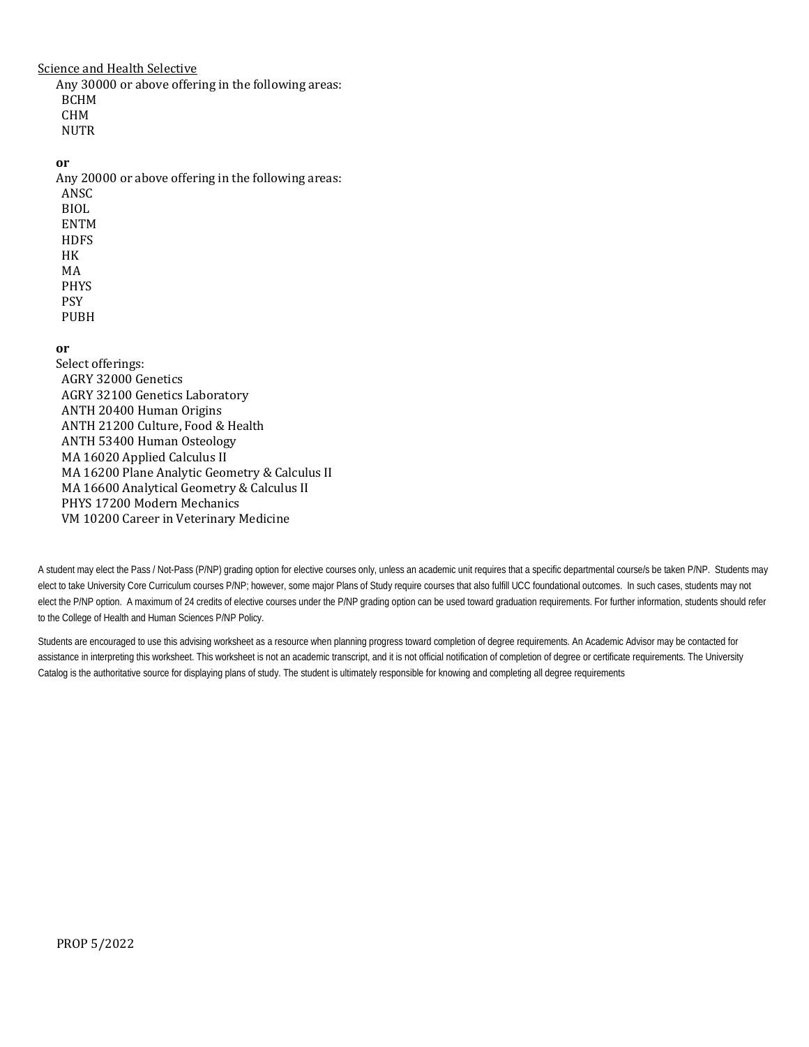### Science and Health Selective

Any 30000 or above offering in the following areas: BCHM CHM **NUTR** 

#### **or**

Any 20000 or above offering in the following areas: ANSC BIOL ENTM **HDFS** HK MA PHYS PSY

PUBH

## **or**

Select offerings: AGRY 32000 Genetics AGRY 32100 Genetics Laboratory ANTH 20400 Human Origins ANTH 21200 Culture, Food & Health ANTH 53400 Human Osteology MA 16020 Applied Calculus II MA 16200 Plane Analytic Geometry & Calculus II MA 16600 Analytical Geometry & Calculus II PHYS 17200 Modern Mechanics VM 10200 Career in Veterinary Medicine

A student may elect the Pass / Not-Pass (P/NP) grading option for elective courses only, unless an academic unit requires that a specific departmental course/s be taken P/NP. Students may elect to take University Core Curriculum courses P/NP; however, some major Plans of Study require courses that also fulfill UCC foundational outcomes. In such cases, students may not elect the P/NP option. A maximum of 24 credits of elective courses under the P/NP grading option can be used toward graduation requirements. For further information, students should refer to the College of Health and Human Sciences P/NP Policy.

Students are encouraged to use this advising worksheet as a resource when planning progress toward completion of degree requirements. An Academic Advisor may be contacted for assistance in interpreting this worksheet. This worksheet is not an academic transcript, and it is not official notification of completion of degree or certificate requirements. The University Catalog is the authoritative source for displaying plans of study. The student is ultimately responsible for knowing and completing all degree requirements